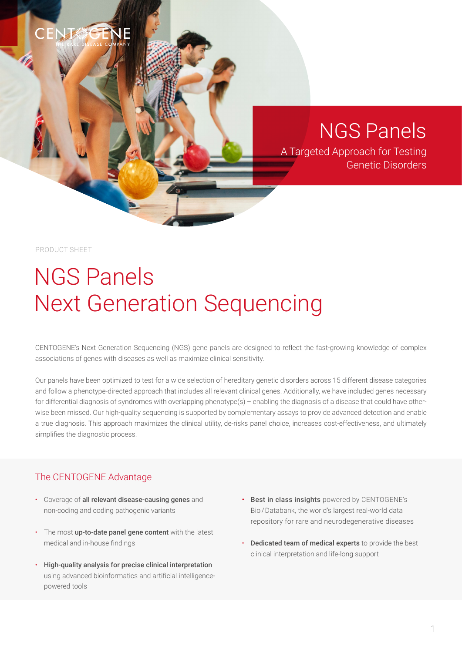## CENT

NGS Panels

A Targeted Approach for Testing Genetic Disorders

PRODUCT SHEET

# NGS Panels Next Generation Sequencing

CENTOGENE's Next Generation Sequencing (NGS) gene panels are designed to reflect the fast-growing knowledge of complex associations of genes with diseases as well as maximize clinical sensitivity.

Our panels have been optimized to test for a wide selection of hereditary genetic disorders across 15 different disease categories and follow a phenotype-directed approach that includes all relevant clinical genes. Additionally, we have included genes necessary for differential diagnosis of syndromes with overlapping phenotype(s) - enabling the diagnosis of a disease that could have otherwise been missed. Our high-quality sequencing is supported by complementary assays to provide advanced detection and enable a true diagnosis. This approach maximizes the clinical utility, de-risks panel choice, increases cost-effectiveness, and ultimately simplifies the diagnostic process.

#### The CENTOGENE Advantage

- Coverage of all relevant disease-causing genes and non-coding and coding pathogenic variants
- The most up-to-date panel gene content with the latest medical and in-house findings
- High-quality analysis for precise clinical interpretation using advanced bioinformatics and artificial intelligencepowered tools
- Best in class insights powered by CENTOGENE's Bio / Databank, the world's largest real-world data repository for rare and neurodegenerative diseases
- Dedicated team of medical experts to provide the best clinical interpretation and life-long support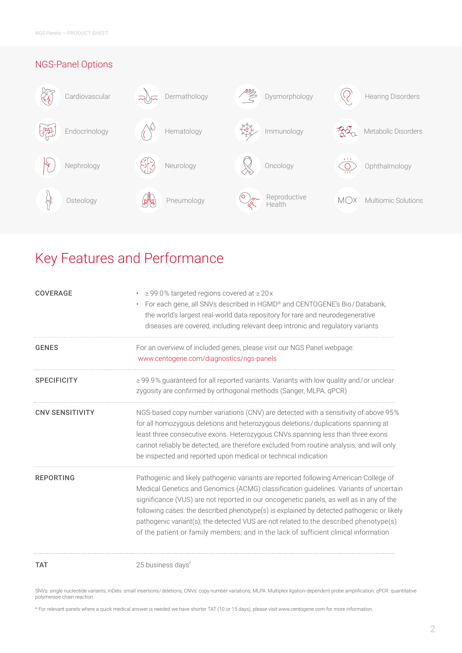

## Key Features and Performance

| <b>COVERAGE</b>        | $\ge$ 99.0% targeted regions covered at $\ge$ 20x<br>For each gene, all SNVs described in HGMD® and CENTOGENE's Bio/Databank,<br>$\bullet$ .<br>the world's largest real-world data repository for rare and neurodegenerative<br>diseases are covered, including relevant deep intronic and regulatory variants                                                                                                                                                                                                                                        |
|------------------------|--------------------------------------------------------------------------------------------------------------------------------------------------------------------------------------------------------------------------------------------------------------------------------------------------------------------------------------------------------------------------------------------------------------------------------------------------------------------------------------------------------------------------------------------------------|
| <b>GENES</b>           | For an overview of included genes, please visit our NGS Panel webpage:<br>www.centogene.com/diagnostics/ngs-panels                                                                                                                                                                                                                                                                                                                                                                                                                                     |
| <b>SPECIFICITY</b>     | ≥99.9% guaranteed for all reported variants. Variants with low quality and/or unclear<br>zygosity are confirmed by orthogonal methods (Sanger, MLPA, qPCR)                                                                                                                                                                                                                                                                                                                                                                                             |
| <b>CNV SENSITIVITY</b> | NGS-based copy number variations (CNV) are detected with a sensitivity of above 95%<br>for all homozygous deletions and heterozygous deletions/duplications spanning at<br>least three consecutive exons. Heterozygous CNVs spanning less than three exons<br>cannot reliably be detected, are therefore excluded from routine analysis, and will only<br>be inspected and reported upon medical or technical indication                                                                                                                               |
| <b>REPORTING</b>       | Pathogenic and likely pathogenic variants are reported following American College of<br>Medical Genetics and Genomics (ACMG) classification guidelines. Variants of uncertain<br>significance (VUS) are not reported in our oncogenetic panels, as well as in any of the<br>following cases: the described phenotype(s) is explained by detected pathogenic or likely<br>pathogenic variant(s); the detected VUS are not related to the described phenotype(s)<br>of the patient or family members; and in the lack of sufficient clinical information |
| <b>TAT</b>             | 25 business days*                                                                                                                                                                                                                                                                                                                                                                                                                                                                                                                                      |

SNVs: single nucleotide variants; InDels: small insertions/deletions; CNVs: copy number variations; MLPA: Multiplex ligation-dependent probe amplification; qPCR: quantitative polymerase chain reaction.

\* For relevant panels where a quick medical answer is needed we have shorter TAT (10 or 15 days), please visit www.centogene.com for more information.